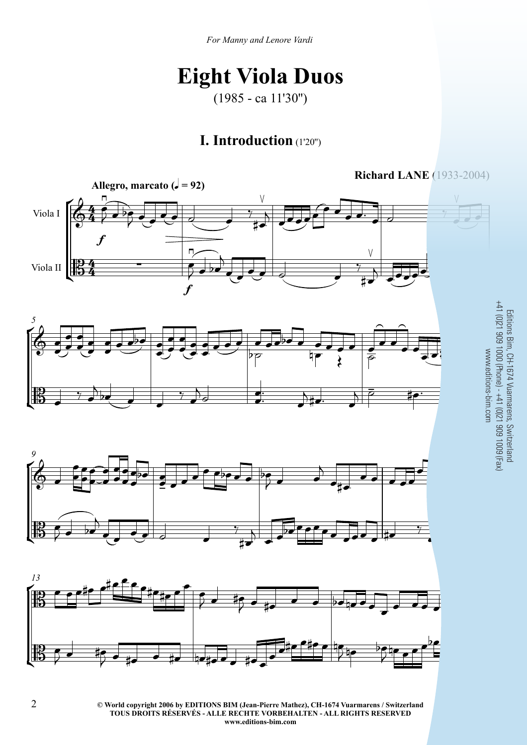## **Eight Viola Duos**

(1985 - ca 11'30'')

## **I. Introduction** (1'20'')









**C** World copyright 2006 by EDITIONS BIM (Jean-Pierre Mathez), CH-1674 Vuarmarens / Switzerland **TOUS DROITS RÉSERVÉS - ALLE RECHTE VORBEHALTEN - ALL RIGHTS RESERVED www.editions-bim.com**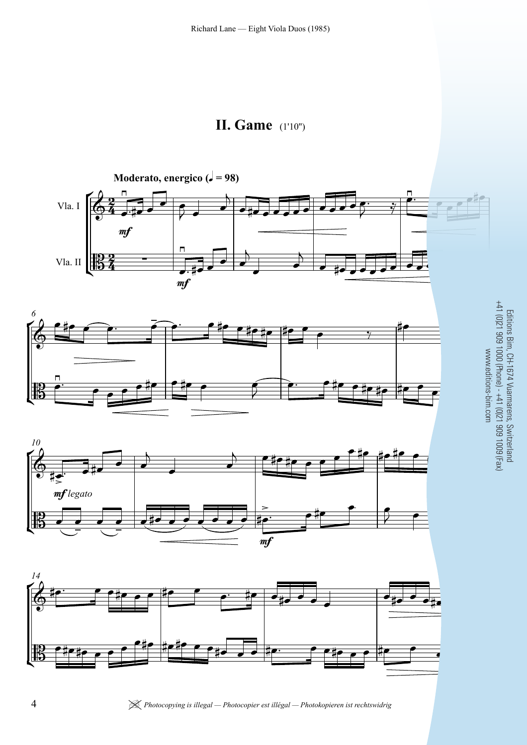









| *Photocopying is illegal — Photocopier est illégal — Photokopieren ist rechtswidrig* **BIM VA9**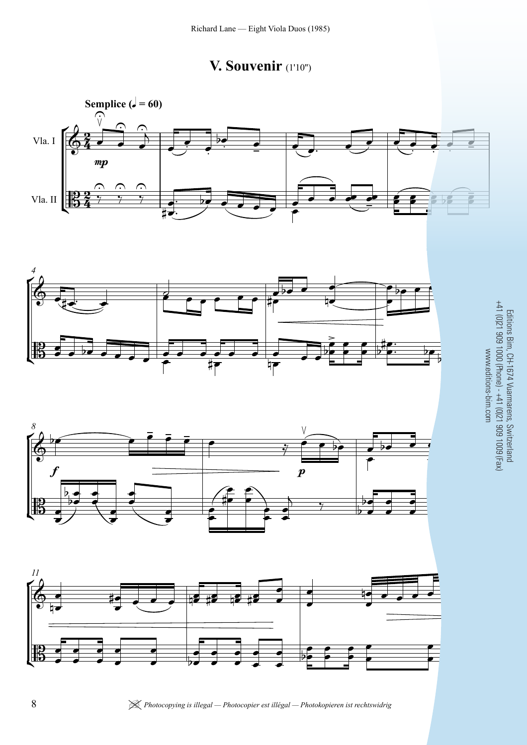









| *Photocopying is illegal — Photocopier est illégal — Photokopieren ist rechtswidrig* **BIM VA9**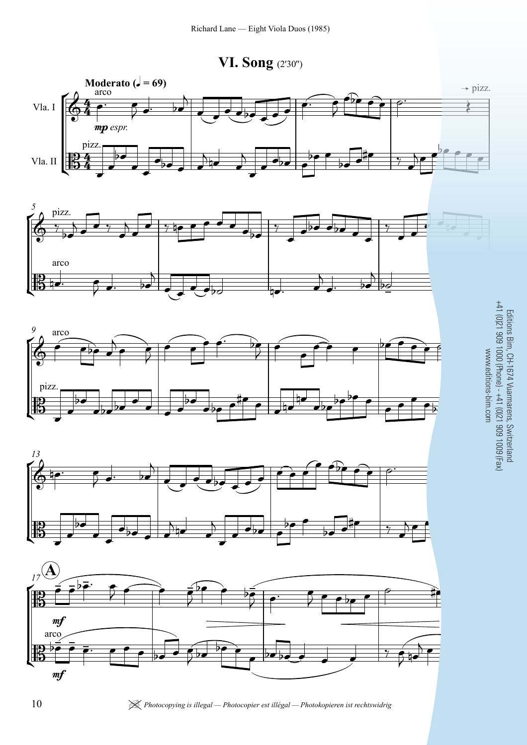**VI. Song** (2'30'')











| *Photocopying is illegal — Photocopier est illégal — Photokopieren ist rechtswidrig* **BIM VA9**